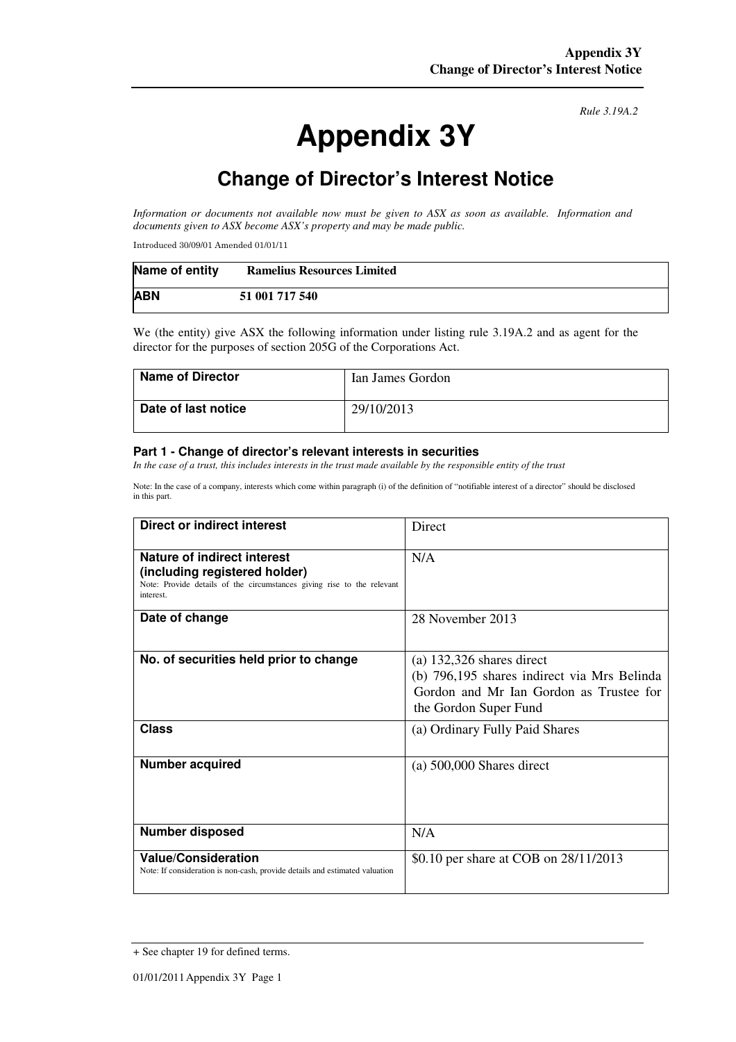# **Appendix 3Y**

*Rule 3.19A.2*

# **Change of Director's Interest Notice**

*Information or documents not available now must be given to ASX as soon as available. Information and documents given to ASX become ASX's property and may be made public.* 

Introduced 30/09/01 Amended 01/01/11

| Name of entity | <b>Ramelius Resources Limited</b> |
|----------------|-----------------------------------|
| <b>ABN</b>     | 51 001 717 540                    |

We (the entity) give ASX the following information under listing rule 3.19A.2 and as agent for the director for the purposes of section 205G of the Corporations Act.

| <b>Name of Director</b> | Ian James Gordon |
|-------------------------|------------------|
| Date of last notice     | 29/10/2013       |

#### **Part 1 - Change of director's relevant interests in securities**

*In the case of a trust, this includes interests in the trust made available by the responsible entity of the trust* 

Note: In the case of a company, interests which come within paragraph (i) of the definition of "notifiable interest of a director" should be disclosed in this part.

| Direct or indirect interest                                                                                                                         | Direct                                                                                                                                         |  |
|-----------------------------------------------------------------------------------------------------------------------------------------------------|------------------------------------------------------------------------------------------------------------------------------------------------|--|
| Nature of indirect interest<br>(including registered holder)<br>Note: Provide details of the circumstances giving rise to the relevant<br>interest. | N/A                                                                                                                                            |  |
| Date of change                                                                                                                                      | 28 November 2013                                                                                                                               |  |
| No. of securities held prior to change                                                                                                              | $(a)$ 132,326 shares direct<br>(b) 796,195 shares indirect via Mrs Belinda<br>Gordon and Mr Ian Gordon as Trustee for<br>the Gordon Super Fund |  |
| Class                                                                                                                                               | (a) Ordinary Fully Paid Shares                                                                                                                 |  |
| <b>Number acquired</b>                                                                                                                              | $(a)$ 500,000 Shares direct                                                                                                                    |  |
| <b>Number disposed</b>                                                                                                                              | N/A                                                                                                                                            |  |
| <b>Value/Consideration</b><br>Note: If consideration is non-cash, provide details and estimated valuation                                           | \$0.10 per share at COB on 28/11/2013                                                                                                          |  |

<sup>+</sup> See chapter 19 for defined terms.